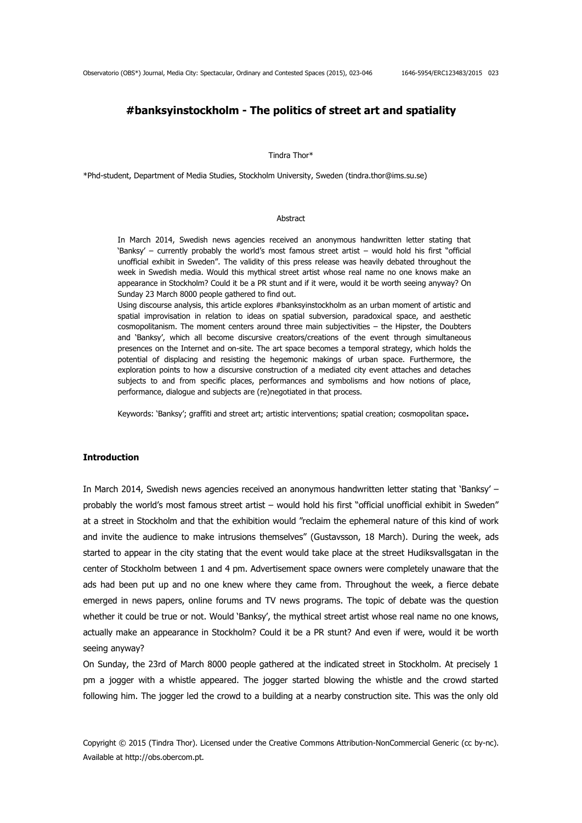# **#banksyinstockholm - The politics of street art and spatiality**

Tindra Thor\*

\*Phd-student, Department of Media Studies, Stockholm University, Sweden (tindra.thor@ims.su.se)

#### Abstract

In March 2014, Swedish news agencies received an anonymous handwritten letter stating that 'Banksy' – currently probably the world's most famous street artist – would hold his first "official unofficial exhibit in Sweden". The validity of this press release was heavily debated throughout the week in Swedish media. Would this mythical street artist whose real name no one knows make an appearance in Stockholm? Could it be a PR stunt and if it were, would it be worth seeing anyway? On Sunday 23 March 8000 people gathered to find out.

Using discourse analysis, this article explores #banksyinstockholm as an urban moment of artistic and spatial improvisation in relation to ideas on spatial subversion, paradoxical space, and aesthetic cosmopolitanism. The moment centers around three main subjectivities – the Hipster, the Doubters and 'Banksy', which all become discursive creators/creations of the event through simultaneous presences on the Internet and on-site. The art space becomes a temporal strategy, which holds the potential of displacing and resisting the hegemonic makings of urban space. Furthermore, the exploration points to how a discursive construction of a mediated city event attaches and detaches subjects to and from specific places, performances and symbolisms and how notions of place, performance, dialogue and subjects are (re)negotiated in that process.

Keywords: 'Banksy'; graffiti and street art; artistic interventions; spatial creation; cosmopolitan space**.**

# **Introduction**

In March 2014, Swedish news agencies received an anonymous handwritten letter stating that 'Banksy' – probably the world's most famous street artist – would hold his first "official unofficial exhibit in Sweden" at a street in Stockholm and that the exhibition would "reclaim the ephemeral nature of this kind of work and invite the audience to make intrusions themselves" (Gustavsson, 18 March). During the week, ads started to appear in the city stating that the event would take place at the street Hudiksvallsgatan in the center of Stockholm between 1 and 4 pm. Advertisement space owners were completely unaware that the ads had been put up and no one knew where they came from. Throughout the week, a fierce debate emerged in news papers, online forums and TV news programs. The topic of debate was the question whether it could be true or not. Would 'Banksy', the mythical street artist whose real name no one knows, actually make an appearance in Stockholm? Could it be a PR stunt? And even if were, would it be worth seeing anyway?

On Sunday, the 23rd of March 8000 people gathered at the indicated street in Stockholm. At precisely 1 pm a jogger with a whistle appeared. The jogger started blowing the whistle and the crowd started following him. The jogger led the crowd to a building at a nearby construction site. This was the only old

Copyright © 2015 (Tindra Thor). Licensed under the Creative Commons Attribution-NonCommercial Generic (cc by-nc). Available at http://obs.obercom.pt.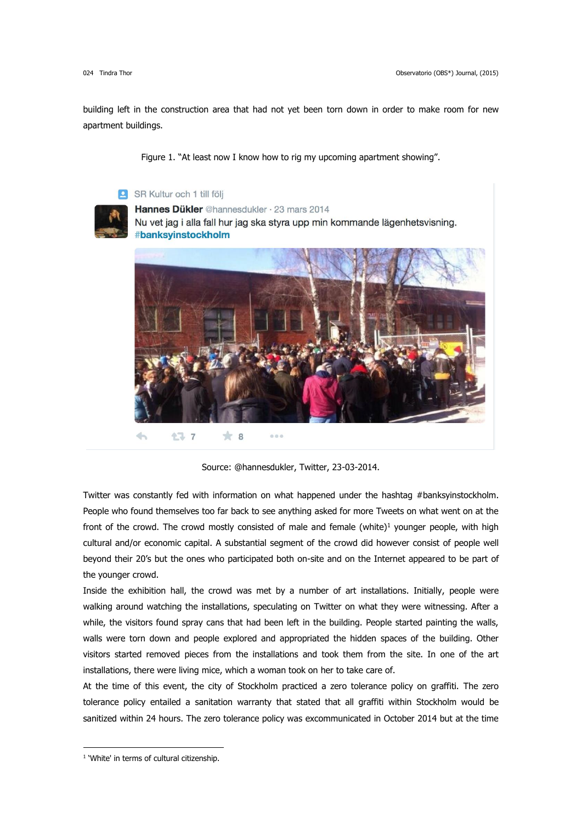building left in the construction area that had not yet been torn down in order to make room for new apartment buildings.

Figure 1. "At least now I know how to rig my upcoming apartment showing".

# SR Kultur och 1 till följ



Hannes Dükler @hannesdukler · 23 mars 2014

Nu vet jag i alla fall hur jag ska styra upp min kommande lägenhetsvisning. #banksyinstockholm



Source: @hannesdukler, Twitter, 23-03-2014.

Twitter was constantly fed with information on what happened under the hashtag #banksyinstockholm. People who found themselves too far back to see anything asked for more Tweets on what went on at the front of the crowd. The crowd mostly consisted of male and female (white)<sup>1</sup> younger people, with high cultural and/or economic capital. A substantial segment of the crowd did however consist of people well beyond their 20's but the ones who participated both on-site and on the Internet appeared to be part of the younger crowd.

Inside the exhibition hall, the crowd was met by a number of art installations. Initially, people were walking around watching the installations, speculating on Twitter on what they were witnessing. After a while, the visitors found spray cans that had been left in the building. People started painting the walls, walls were torn down and people explored and appropriated the hidden spaces of the building. Other visitors started removed pieces from the installations and took them from the site. In one of the art installations, there were living mice, which a woman took on her to take care of.

At the time of this event, the city of Stockholm practiced a zero tolerance policy on graffiti. The zero tolerance policy entailed a sanitation warranty that stated that all graffiti within Stockholm would be sanitized within 24 hours. The zero tolerance policy was excommunicated in October 2014 but at the time

-

<sup>&</sup>lt;sup>1</sup> 'White' in terms of cultural citizenship.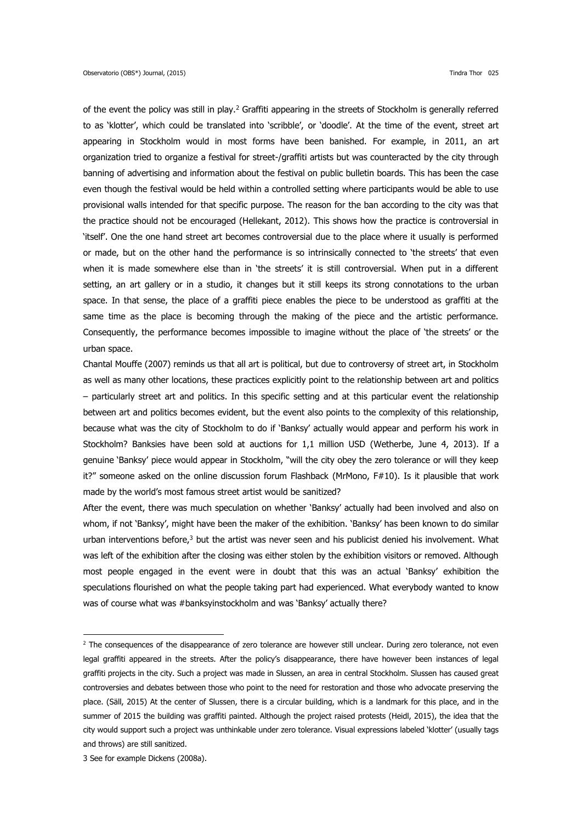of the event the policy was still in play.<sup>2</sup> Graffiti appearing in the streets of Stockholm is generally referred to as 'klotter', which could be translated into 'scribble', or 'doodle'. At the time of the event, street art appearing in Stockholm would in most forms have been banished. For example, in 2011, an art organization tried to organize a festival for street-/graffiti artists but was counteracted by the city through banning of advertising and information about the festival on public bulletin boards. This has been the case even though the festival would be held within a controlled setting where participants would be able to use provisional walls intended for that specific purpose. The reason for the ban according to the city was that the practice should not be encouraged (Hellekant, 2012). This shows how the practice is controversial in 'itself'. One the one hand street art becomes controversial due to the place where it usually is performed or made, but on the other hand the performance is so intrinsically connected to 'the streets' that even when it is made somewhere else than in 'the streets' it is still controversial. When put in a different setting, an art gallery or in a studio, it changes but it still keeps its strong connotations to the urban space. In that sense, the place of a graffiti piece enables the piece to be understood as graffiti at the same time as the place is becoming through the making of the piece and the artistic performance. Consequently, the performance becomes impossible to imagine without the place of 'the streets' or the urban space.

Chantal Mouffe (2007) reminds us that all art is political, but due to controversy of street art, in Stockholm as well as many other locations, these practices explicitly point to the relationship between art and politics – particularly street art and politics. In this specific setting and at this particular event the relationship between art and politics becomes evident, but the event also points to the complexity of this relationship, because what was the city of Stockholm to do if 'Banksy' actually would appear and perform his work in Stockholm? Banksies have been sold at auctions for 1,1 million USD (Wetherbe, June 4, 2013). If a genuine 'Banksy' piece would appear in Stockholm, "will the city obey the zero tolerance or will they keep it?" someone asked on the online discussion forum Flashback (MrMono, F#10). Is it plausible that work made by the world's most famous street artist would be sanitized?

After the event, there was much speculation on whether 'Banksy' actually had been involved and also on whom, if not 'Banksy', might have been the maker of the exhibition. 'Banksy' has been known to do similar urban interventions before, $3$  but the artist was never seen and his publicist denied his involvement. What was left of the exhibition after the closing was either stolen by the exhibition visitors or removed. Although most people engaged in the event were in doubt that this was an actual 'Banksy' exhibition the speculations flourished on what the people taking part had experienced. What everybody wanted to know was of course what was #banksyinstockholm and was 'Banksy' actually there?

-

<sup>&</sup>lt;sup>2</sup> The consequences of the disappearance of zero tolerance are however still unclear. During zero tolerance, not even legal graffiti appeared in the streets. After the policy's disappearance, there have however been instances of legal graffiti projects in the city. Such a project was made in Slussen, an area in central Stockholm. Slussen has caused great controversies and debates between those who point to the need for restoration and those who advocate preserving the place. (Säll, 2015) At the center of Slussen, there is a circular building, which is a landmark for this place, and in the summer of 2015 the building was graffiti painted. Although the project raised protests (Heidl, 2015), the idea that the city would support such a project was unthinkable under zero tolerance. Visual expressions labeled 'klotter' (usually tags and throws) are still sanitized.

<sup>3</sup> See for example Dickens (2008a).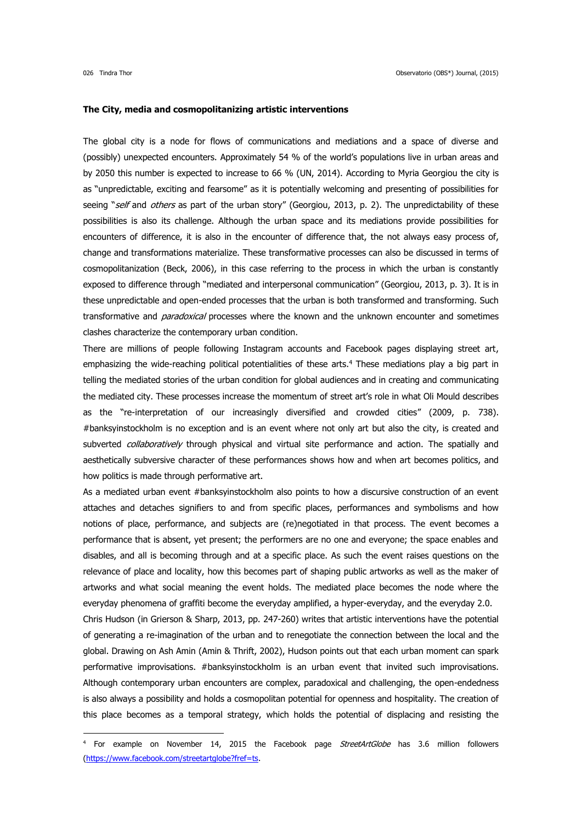<u>.</u>

#### **The City, media and cosmopolitanizing artistic interventions**

The global city is a node for flows of communications and mediations and a space of diverse and (possibly) unexpected encounters. Approximately 54 % of the world's populations live in urban areas and by 2050 this number is expected to increase to 66 % (UN, 2014). According to Myria Georgiou the city is as "unpredictable, exciting and fearsome" as it is potentially welcoming and presenting of possibilities for seeing "self and others as part of the urban story" (Georgiou, 2013, p. 2). The unpredictability of these possibilities is also its challenge. Although the urban space and its mediations provide possibilities for encounters of difference, it is also in the encounter of difference that, the not always easy process of, change and transformations materialize. These transformative processes can also be discussed in terms of cosmopolitanization (Beck, 2006), in this case referring to the process in which the urban is constantly exposed to difference through "mediated and interpersonal communication" (Georgiou, 2013, p. 3). It is in these unpredictable and open-ended processes that the urban is both transformed and transforming. Such transformative and *paradoxical* processes where the known and the unknown encounter and sometimes clashes characterize the contemporary urban condition.

There are millions of people following Instagram accounts and Facebook pages displaying street art, emphasizing the wide-reaching political potentialities of these arts.<sup>4</sup> These mediations play a big part in telling the mediated stories of the urban condition for global audiences and in creating and communicating the mediated city. These processes increase the momentum of street art's role in what Oli Mould describes as the "re-interpretation of our increasingly diversified and crowded cities" (2009, p. 738). #banksyinstockholm is no exception and is an event where not only art but also the city, is created and subverted collaboratively through physical and virtual site performance and action. The spatially and aesthetically subversive character of these performances shows how and when art becomes politics, and how politics is made through performative art.

As a mediated urban event #banksyinstockholm also points to how a discursive construction of an event attaches and detaches signifiers to and from specific places, performances and symbolisms and how notions of place, performance, and subjects are (re)negotiated in that process. The event becomes a performance that is absent, yet present; the performers are no one and everyone; the space enables and disables, and all is becoming through and at a specific place. As such the event raises questions on the relevance of place and locality, how this becomes part of shaping public artworks as well as the maker of artworks and what social meaning the event holds. The mediated place becomes the node where the everyday phenomena of graffiti become the everyday amplified, a hyper-everyday, and the everyday 2.0. Chris Hudson (in Grierson & Sharp, 2013, pp. 247-260) writes that artistic interventions have the potential of generating a re-imagination of the urban and to renegotiate the connection between the local and the global. Drawing on Ash Amin (Amin & Thrift, 2002), Hudson points out that each urban moment can spark performative improvisations. #banksyinstockholm is an urban event that invited such improvisations. Although contemporary urban encounters are complex, paradoxical and challenging, the open-endedness

is also always a possibility and holds a cosmopolitan potential for openness and hospitality. The creation of this place becomes as a temporal strategy, which holds the potential of displacing and resisting the

<sup>&</sup>lt;sup>4</sup> For example on November 14, 2015 the Facebook page *StreetArtGlobe* has 3.6 million followers [\(https://www.facebook.com/streetartglobe?fref=ts.](https://www.facebook.com/streetartglobe?fref=ts)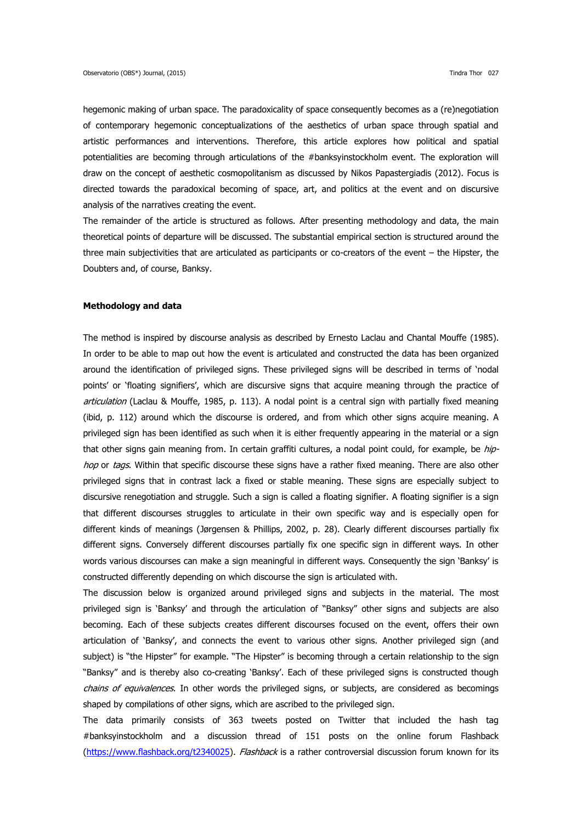hegemonic making of urban space. The paradoxicality of space consequently becomes as a (re)negotiation of contemporary hegemonic conceptualizations of the aesthetics of urban space through spatial and artistic performances and interventions. Therefore, this article explores how political and spatial potentialities are becoming through articulations of the #banksyinstockholm event. The exploration will draw on the concept of aesthetic cosmopolitanism as discussed by Nikos Papastergiadis (2012). Focus is directed towards the paradoxical becoming of space, art, and politics at the event and on discursive analysis of the narratives creating the event.

The remainder of the article is structured as follows. After presenting methodology and data, the main theoretical points of departure will be discussed. The substantial empirical section is structured around the three main subjectivities that are articulated as participants or co-creators of the event – the Hipster, the Doubters and, of course, Banksy.

## **Methodology and data**

The method is inspired by discourse analysis as described by Ernesto Laclau and Chantal Mouffe (1985). In order to be able to map out how the event is articulated and constructed the data has been organized around the identification of privileged signs. These privileged signs will be described in terms of 'nodal points' or 'floating signifiers', which are discursive signs that acquire meaning through the practice of articulation (Laclau & Mouffe, 1985, p. 113). A nodal point is a central sign with partially fixed meaning (ibid, p. 112) around which the discourse is ordered, and from which other signs acquire meaning. A privileged sign has been identified as such when it is either frequently appearing in the material or a sign that other signs gain meaning from. In certain graffiti cultures, a nodal point could, for example, be hiphop or tags. Within that specific discourse these signs have a rather fixed meaning. There are also other privileged signs that in contrast lack a fixed or stable meaning. These signs are especially subject to discursive renegotiation and struggle. Such a sign is called a floating signifier. A floating signifier is a sign that different discourses struggles to articulate in their own specific way and is especially open for different kinds of meanings (Jørgensen & Phillips, 2002, p. 28). Clearly different discourses partially fix different signs. Conversely different discourses partially fix one specific sign in different ways. In other words various discourses can make a sign meaningful in different ways. Consequently the sign 'Banksy' is constructed differently depending on which discourse the sign is articulated with.

The discussion below is organized around privileged signs and subjects in the material. The most privileged sign is 'Banksy' and through the articulation of "Banksy" other signs and subjects are also becoming. Each of these subjects creates different discourses focused on the event, offers their own articulation of 'Banksy', and connects the event to various other signs. Another privileged sign (and subject) is "the Hipster" for example. "The Hipster" is becoming through a certain relationship to the sign "Banksy" and is thereby also co-creating 'Banksy'. Each of these privileged signs is constructed though chains of equivalences. In other words the privileged signs, or subjects, are considered as becomings shaped by compilations of other signs, which are ascribed to the privileged sign.

The data primarily consists of 363 tweets posted on Twitter that included the hash tag #banksyinstockholm and a discussion thread of 151 posts on the online forum Flashback [\(https://www.flashback.org/t2340025\)](https://www.flashback.org/t2340025). Flashback is a rather controversial discussion forum known for its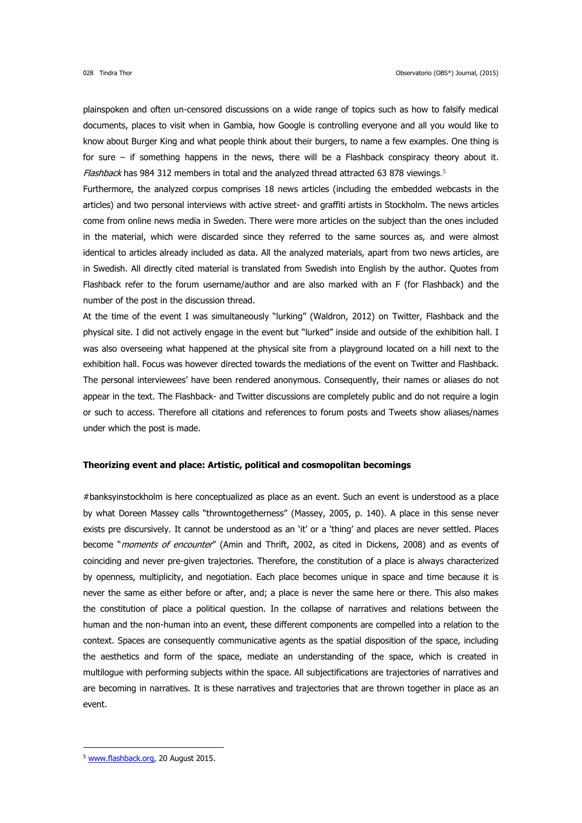plainspoken and often un-censored discussions on a wide range of topics such as how to falsify medical documents, places to visit when in Gambia, how Google is controlling everyone and all you would like to know about Burger King and what people think about their burgers, to name a few examples. One thing is for sure – if something happens in the news, there will be a Flashback conspiracy theory about it. Flashback has 984 312 members in total and the analyzed thread attracted 63 878 viewings.<sup>5</sup>

Furthermore, the analyzed corpus comprises 18 news articles (including the embedded webcasts in the articles) and two personal interviews with active street- and graffiti artists in Stockholm. The news articles come from online news media in Sweden. There were more articles on the subject than the ones included in the material, which were discarded since they referred to the same sources as, and were almost identical to articles already included as data. All the analyzed materials, apart from two news articles, are in Swedish. All directly cited material is translated from Swedish into English by the author. Quotes from Flashback refer to the forum username/author and are also marked with an F (for Flashback) and the number of the post in the discussion thread.

At the time of the event I was simultaneously "lurking" (Waldron, 2012) on Twitter, Flashback and the physical site. I did not actively engage in the event but "lurked" inside and outside of the exhibition hall. I was also overseeing what happened at the physical site from a playground located on a hill next to the exhibition hall. Focus was however directed towards the mediations of the event on Twitter and Flashback. The personal interviewees' have been rendered anonymous. Consequently, their names or aliases do not appear in the text. The Flashback- and Twitter discussions are completely public and do not require a login or such to access. Therefore all citations and references to forum posts and Tweets show aliases/names under which the post is made.

# **Theorizing event and place: Artistic, political and cosmopolitan becomings**

#banksyinstockholm is here conceptualized as place as an event. Such an event is understood as a place by what Doreen Massey calls "throwntogetherness" (Massey, 2005, p. 140). A place in this sense never exists pre discursively. It cannot be understood as an 'it' or a 'thing' and places are never settled. Places become "*moments of encounter"* (Amin and Thrift, 2002, as cited in Dickens, 2008) and as events of coinciding and never pre-given trajectories. Therefore, the constitution of a place is always characterized by openness, multiplicity, and negotiation. Each place becomes unique in space and time because it is never the same as either before or after, and; a place is never the same here or there. This also makes the constitution of place a political question. In the collapse of narratives and relations between the human and the non-human into an event, these different components are compelled into a relation to the context. Spaces are consequently communicative agents as the spatial disposition of the space, including the aesthetics and form of the space, mediate an understanding of the space, which is created in multilogue with performing subjects within the space. All subjectifications are trajectories of narratives and are becoming in narratives. It is these narratives and trajectories that are thrown together in place as an event.

-

<sup>5</sup> [www.flashback.org,](http://www.flashback.org/) 20 August 2015.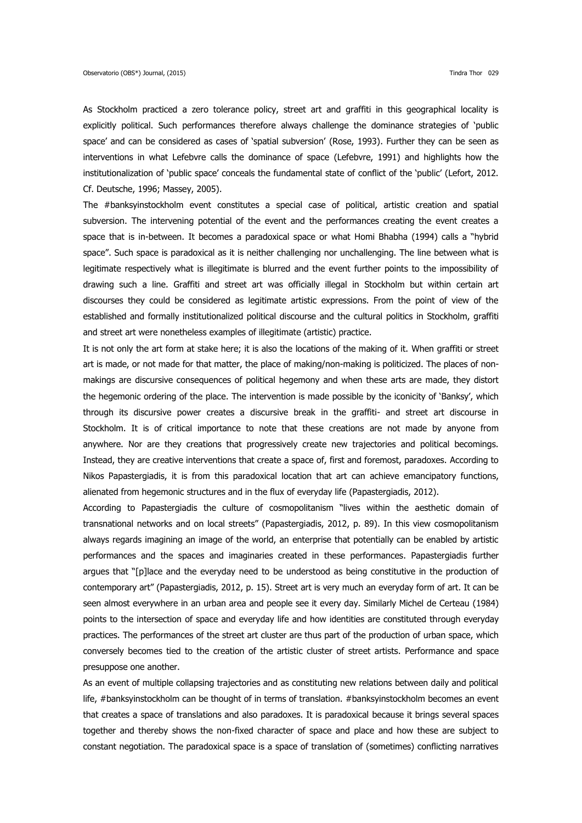As Stockholm practiced a zero tolerance policy, street art and graffiti in this geographical locality is explicitly political. Such performances therefore always challenge the dominance strategies of 'public space' and can be considered as cases of 'spatial subversion' (Rose, 1993). Further they can be seen as interventions in what Lefebvre calls the dominance of space (Lefebvre, 1991) and highlights how the institutionalization of 'public space' conceals the fundamental state of conflict of the 'public' (Lefort, 2012. Cf. Deutsche, 1996; Massey, 2005).

The #banksyinstockholm event constitutes a special case of political, artistic creation and spatial subversion. The intervening potential of the event and the performances creating the event creates a space that is in-between. It becomes a paradoxical space or what Homi Bhabha (1994) calls a "hybrid space". Such space is paradoxical as it is neither challenging nor unchallenging. The line between what is legitimate respectively what is illegitimate is blurred and the event further points to the impossibility of drawing such a line. Graffiti and street art was officially illegal in Stockholm but within certain art discourses they could be considered as legitimate artistic expressions. From the point of view of the established and formally institutionalized political discourse and the cultural politics in Stockholm, graffiti and street art were nonetheless examples of illegitimate (artistic) practice.

It is not only the art form at stake here; it is also the locations of the making of it. When graffiti or street art is made, or not made for that matter, the place of making/non-making is politicized. The places of nonmakings are discursive consequences of political hegemony and when these arts are made, they distort the hegemonic ordering of the place. The intervention is made possible by the iconicity of 'Banksy', which through its discursive power creates a discursive break in the graffiti- and street art discourse in Stockholm. It is of critical importance to note that these creations are not made by anyone from anywhere. Nor are they creations that progressively create new trajectories and political becomings. Instead, they are creative interventions that create a space of, first and foremost, paradoxes. According to Nikos Papastergiadis, it is from this paradoxical location that art can achieve emancipatory functions, alienated from hegemonic structures and in the flux of everyday life (Papastergiadis, 2012).

According to Papastergiadis the culture of cosmopolitanism "lives within the aesthetic domain of transnational networks and on local streets" (Papastergiadis, 2012, p. 89). In this view cosmopolitanism always regards imagining an image of the world, an enterprise that potentially can be enabled by artistic performances and the spaces and imaginaries created in these performances. Papastergiadis further argues that "[p]lace and the everyday need to be understood as being constitutive in the production of contemporary art" (Papastergiadis, 2012, p. 15). Street art is very much an everyday form of art. It can be seen almost everywhere in an urban area and people see it every day. Similarly Michel de Certeau (1984) points to the intersection of space and everyday life and how identities are constituted through everyday practices. The performances of the street art cluster are thus part of the production of urban space, which conversely becomes tied to the creation of the artistic cluster of street artists. Performance and space presuppose one another.

As an event of multiple collapsing trajectories and as constituting new relations between daily and political life, #banksyinstockholm can be thought of in terms of translation. #banksyinstockholm becomes an event that creates a space of translations and also paradoxes. It is paradoxical because it brings several spaces together and thereby shows the non-fixed character of space and place and how these are subject to constant negotiation. The paradoxical space is a space of translation of (sometimes) conflicting narratives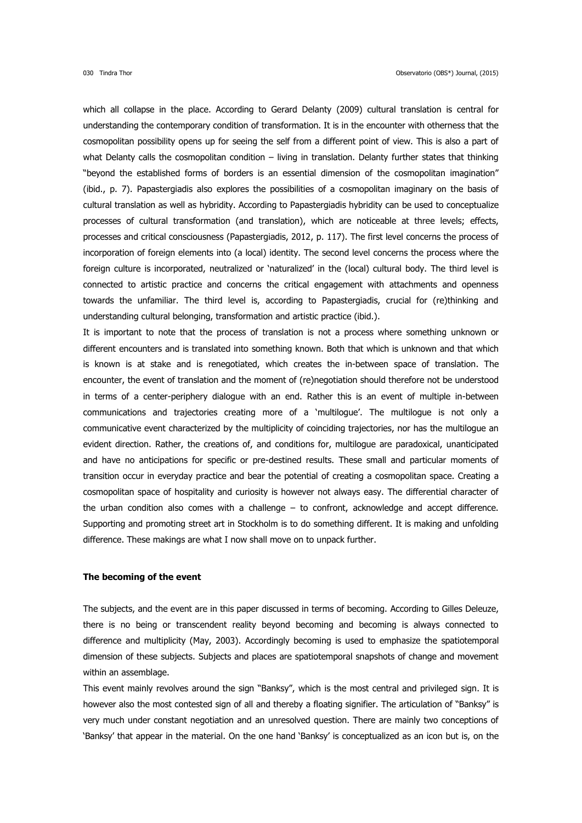which all collapse in the place. According to Gerard Delanty (2009) cultural translation is central for understanding the contemporary condition of transformation. It is in the encounter with otherness that the cosmopolitan possibility opens up for seeing the self from a different point of view. This is also a part of what Delanty calls the cosmopolitan condition – living in translation. Delanty further states that thinking "beyond the established forms of borders is an essential dimension of the cosmopolitan imagination" (ibid., p. 7). Papastergiadis also explores the possibilities of a cosmopolitan imaginary on the basis of cultural translation as well as hybridity. According to Papastergiadis hybridity can be used to conceptualize processes of cultural transformation (and translation), which are noticeable at three levels; effects, processes and critical consciousness (Papastergiadis, 2012, p. 117). The first level concerns the process of incorporation of foreign elements into (a local) identity. The second level concerns the process where the foreign culture is incorporated, neutralized or 'naturalized' in the (local) cultural body. The third level is connected to artistic practice and concerns the critical engagement with attachments and openness towards the unfamiliar. The third level is, according to Papastergiadis, crucial for (re)thinking and understanding cultural belonging, transformation and artistic practice (ibid.).

It is important to note that the process of translation is not a process where something unknown or different encounters and is translated into something known. Both that which is unknown and that which is known is at stake and is renegotiated, which creates the in-between space of translation. The encounter, the event of translation and the moment of (re)negotiation should therefore not be understood in terms of a center-periphery dialogue with an end. Rather this is an event of multiple in-between communications and trajectories creating more of a 'multilogue'. The multilogue is not only a communicative event characterized by the multiplicity of coinciding trajectories, nor has the multilogue an evident direction. Rather, the creations of, and conditions for, multilogue are paradoxical, unanticipated and have no anticipations for specific or pre-destined results. These small and particular moments of transition occur in everyday practice and bear the potential of creating a cosmopolitan space. Creating a cosmopolitan space of hospitality and curiosity is however not always easy. The differential character of the urban condition also comes with a challenge – to confront, acknowledge and accept difference. Supporting and promoting street art in Stockholm is to do something different. It is making and unfolding difference. These makings are what I now shall move on to unpack further.

### **The becoming of the event**

The subjects, and the event are in this paper discussed in terms of becoming. According to Gilles Deleuze, there is no being or transcendent reality beyond becoming and becoming is always connected to difference and multiplicity (May, 2003). Accordingly becoming is used to emphasize the spatiotemporal dimension of these subjects. Subjects and places are spatiotemporal snapshots of change and movement within an assemblage.

This event mainly revolves around the sign "Banksy", which is the most central and privileged sign. It is however also the most contested sign of all and thereby a floating signifier. The articulation of "Banksy" is very much under constant negotiation and an unresolved question. There are mainly two conceptions of 'Banksy' that appear in the material. On the one hand 'Banksy' is conceptualized as an icon but is, on the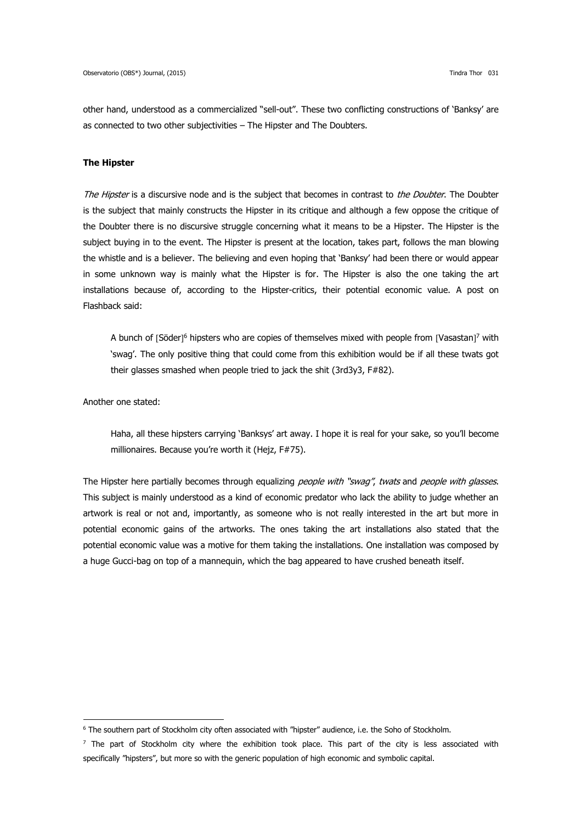other hand, understood as a commercialized "sell-out". These two conflicting constructions of 'Banksy' are as connected to two other subjectivities – The Hipster and The Doubters.

### **The Hipster**

The Hipster is a discursive node and is the subject that becomes in contrast to the Doubter. The Doubter is the subject that mainly constructs the Hipster in its critique and although a few oppose the critique of the Doubter there is no discursive struggle concerning what it means to be a Hipster. The Hipster is the subject buying in to the event. The Hipster is present at the location, takes part, follows the man blowing the whistle and is a believer. The believing and even hoping that 'Banksy' had been there or would appear in some unknown way is mainly what the Hipster is for. The Hipster is also the one taking the art installations because of, according to the Hipster-critics, their potential economic value. A post on Flashback said:

A bunch of [Söder]<sup>6</sup> hipsters who are copies of themselves mixed with people from [Vasastan]<sup>7</sup> with 'swag'. The only positive thing that could come from this exhibition would be if all these twats got their glasses smashed when people tried to jack the shit (3rd3y3, F#82).

Another one stated:

-

Haha, all these hipsters carrying 'Banksys' art away. I hope it is real for your sake, so you'll become millionaires. Because you're worth it (Hejz, F#75).

The Hipster here partially becomes through equalizing *people with "swag", twats* and *people with glasses*. This subject is mainly understood as a kind of economic predator who lack the ability to judge whether an artwork is real or not and, importantly, as someone who is not really interested in the art but more in potential economic gains of the artworks. The ones taking the art installations also stated that the potential economic value was a motive for them taking the installations. One installation was composed by a huge Gucci-bag on top of a mannequin, which the bag appeared to have crushed beneath itself.

<sup>6</sup> The southern part of Stockholm city often associated with "hipster" audience, i.e. the Soho of Stockholm.

 $<sup>7</sup>$  The part of Stockholm city where the exhibition took place. This part of the city is less associated with</sup> specifically "hipsters", but more so with the generic population of high economic and symbolic capital.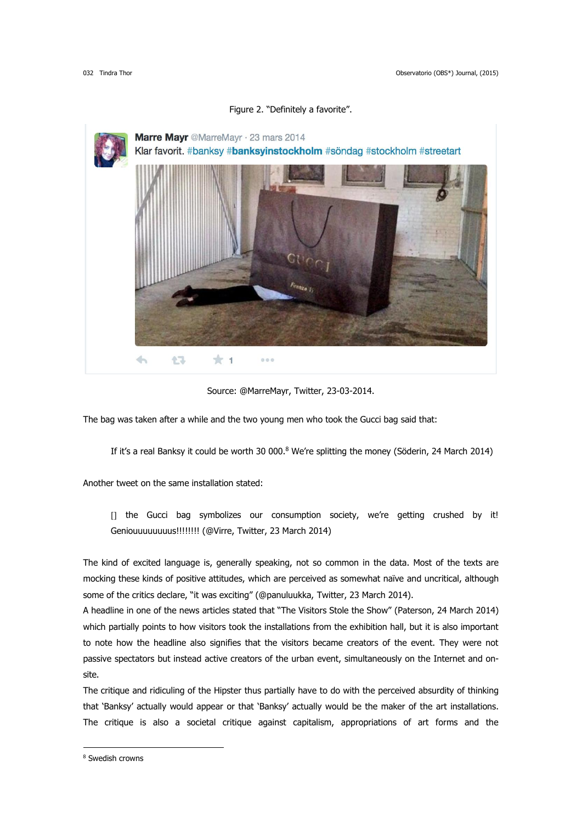

#### Figure 2. "Definitely a favorite".

The bag was taken after a while and the two young men who took the Gucci bag said that:

If it's a real Banksy it could be worth 30 000.<sup>8</sup> We're splitting the money (Söderin, 24 March 2014)

Another tweet on the same installation stated:

[] the Gucci bag symbolizes our consumption society, we're getting crushed by it! Geniouuuuuuuus!!!!!!!! (@Virre, Twitter, 23 March 2014)

The kind of excited language is, generally speaking, not so common in the data. Most of the texts are mocking these kinds of positive attitudes, which are perceived as somewhat naïve and uncritical, although some of the critics declare, "it was exciting" (@panuluukka, Twitter, 23 March 2014).

A headline in one of the news articles stated that "The Visitors Stole the Show" (Paterson, 24 March 2014) which partially points to how visitors took the installations from the exhibition hall, but it is also important to note how the headline also signifies that the visitors became creators of the event. They were not passive spectators but instead active creators of the urban event, simultaneously on the Internet and onsite.

The critique and ridiculing of the Hipster thus partially have to do with the perceived absurdity of thinking that 'Banksy' actually would appear or that 'Banksy' actually would be the maker of the art installations. The critique is also a societal critique against capitalism, appropriations of art forms and the

-

Source: @MarreMayr, Twitter, 23-03-2014.

<sup>8</sup> Swedish crowns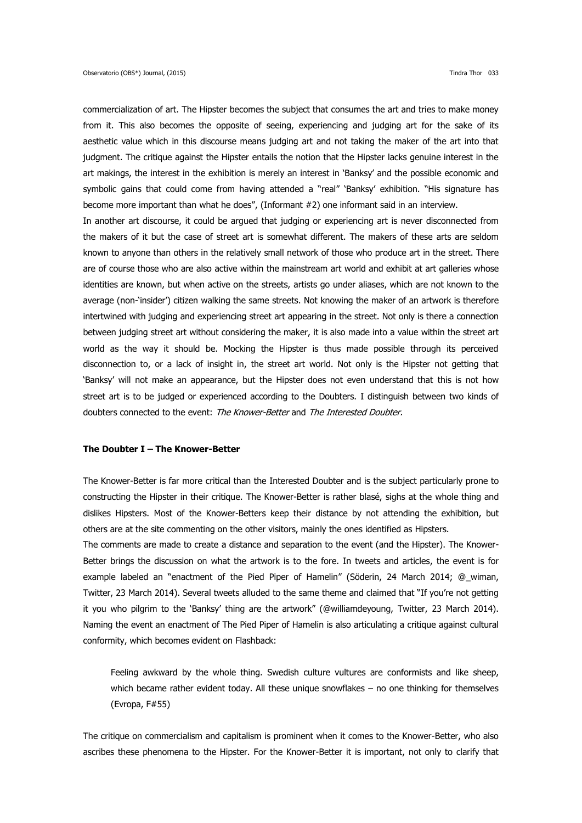commercialization of art. The Hipster becomes the subject that consumes the art and tries to make money from it. This also becomes the opposite of seeing, experiencing and judging art for the sake of its aesthetic value which in this discourse means judging art and not taking the maker of the art into that judgment. The critique against the Hipster entails the notion that the Hipster lacks genuine interest in the art makings, the interest in the exhibition is merely an interest in 'Banksy' and the possible economic and symbolic gains that could come from having attended a "real" 'Banksy' exhibition. "His signature has become more important than what he does", (Informant #2) one informant said in an interview. In another art discourse, it could be argued that judging or experiencing art is never disconnected from the makers of it but the case of street art is somewhat different. The makers of these arts are seldom known to anyone than others in the relatively small network of those who produce art in the street. There are of course those who are also active within the mainstream art world and exhibit at art galleries whose identities are known, but when active on the streets, artists go under aliases, which are not known to the

average (non-'insider') citizen walking the same streets. Not knowing the maker of an artwork is therefore intertwined with judging and experiencing street art appearing in the street. Not only is there a connection between judging street art without considering the maker, it is also made into a value within the street art world as the way it should be. Mocking the Hipster is thus made possible through its perceived disconnection to, or a lack of insight in, the street art world. Not only is the Hipster not getting that 'Banksy' will not make an appearance, but the Hipster does not even understand that this is not how street art is to be judged or experienced according to the Doubters. I distinguish between two kinds of doubters connected to the event: The Knower-Better and The Interested Doubter.

## **The Doubter I – The Knower-Better**

The Knower-Better is far more critical than the Interested Doubter and is the subject particularly prone to constructing the Hipster in their critique. The Knower-Better is rather blasé, sighs at the whole thing and dislikes Hipsters. Most of the Knower-Betters keep their distance by not attending the exhibition, but others are at the site commenting on the other visitors, mainly the ones identified as Hipsters.

The comments are made to create a distance and separation to the event (and the Hipster). The Knower-Better brings the discussion on what the artwork is to the fore. In tweets and articles, the event is for example labeled an "enactment of the Pied Piper of Hamelin" (Söderin, 24 March 2014; @\_wiman, Twitter, 23 March 2014). Several tweets alluded to the same theme and claimed that "If you're not getting it you who pilgrim to the 'Banksy' thing are the artwork" (@williamdeyoung, Twitter, 23 March 2014). Naming the event an enactment of The Pied Piper of Hamelin is also articulating a critique against cultural conformity, which becomes evident on Flashback:

Feeling awkward by the whole thing. Swedish culture vultures are conformists and like sheep, which became rather evident today. All these unique snowflakes - no one thinking for themselves (Evropa, F#55)

The critique on commercialism and capitalism is prominent when it comes to the Knower-Better, who also ascribes these phenomena to the Hipster. For the Knower-Better it is important, not only to clarify that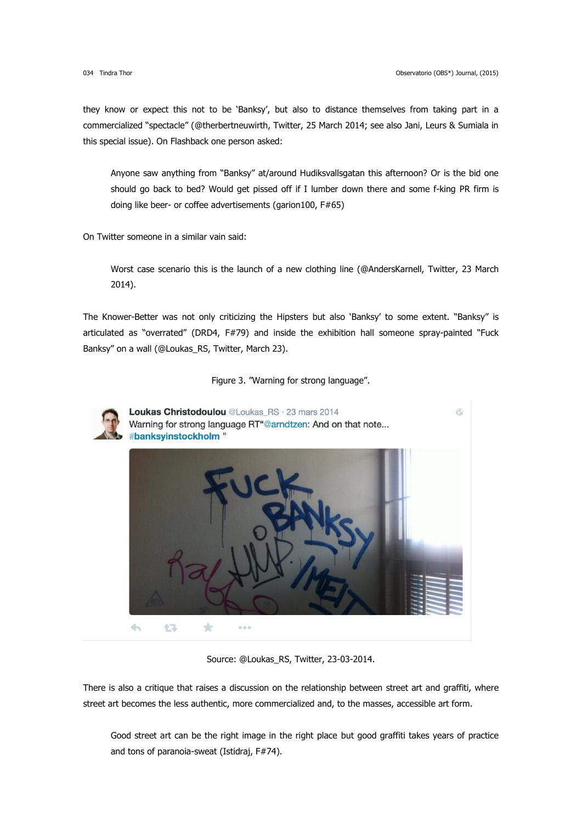they know or expect this not to be 'Banksy', but also to distance themselves from taking part in a commercialized "spectacle" (@therbertneuwirth, Twitter, 25 March 2014; see also Jani, Leurs & Sumiala in this special issue). On Flashback one person asked:

Anyone saw anything from "Banksy" at/around Hudiksvallsgatan this afternoon? Or is the bid one should go back to bed? Would get pissed off if I lumber down there and some f-king PR firm is doing like beer- or coffee advertisements (garion100, F#65)

On Twitter someone in a similar vain said:

Worst case scenario this is the launch of a new clothing line (@AndersKarnell, Twitter, 23 March 2014).

The Knower-Better was not only criticizing the Hipsters but also 'Banksy' to some extent. "Banksy" is articulated as "overrated" (DRD4, F#79) and inside the exhibition hall someone spray-painted "Fuck Banksy" on a wall (@Loukas\_RS, Twitter, March 23).

Figure 3. "Warning for strong language".



Loukas Christodoulou @Loukas RS · 23 mars 2014 6 Warning for strong language RT"@arndtzen: And on that note... #banksvinstockholm "  $\overline{\phantom{a}}$  $\star$ 仁子  $000$ 

Source: @Loukas\_RS, Twitter, 23-03-2014.

There is also a critique that raises a discussion on the relationship between street art and graffiti, where street art becomes the less authentic, more commercialized and, to the masses, accessible art form.

Good street art can be the right image in the right place but good graffiti takes years of practice and tons of paranoia-sweat (Istidraj, F#74).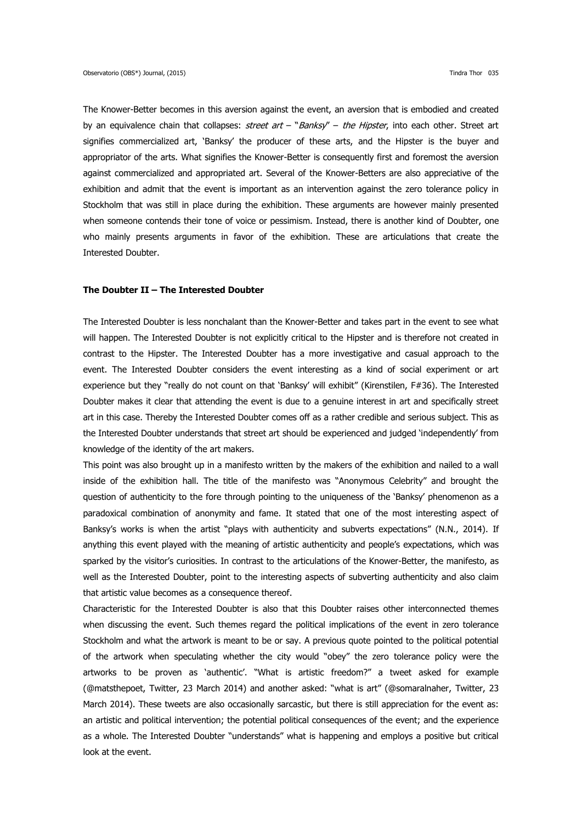The Knower-Better becomes in this aversion against the event, an aversion that is embodied and created by an equivalence chain that collapses: *street art* – "Banksy" – the Hipster, into each other. Street art signifies commercialized art, 'Banksy' the producer of these arts, and the Hipster is the buyer and appropriator of the arts. What signifies the Knower-Better is consequently first and foremost the aversion against commercialized and appropriated art. Several of the Knower-Betters are also appreciative of the exhibition and admit that the event is important as an intervention against the zero tolerance policy in Stockholm that was still in place during the exhibition. These arguments are however mainly presented when someone contends their tone of voice or pessimism. Instead, there is another kind of Doubter, one who mainly presents arguments in favor of the exhibition. These are articulations that create the Interested Doubter.

## **The Doubter II – The Interested Doubter**

The Interested Doubter is less nonchalant than the Knower-Better and takes part in the event to see what will happen. The Interested Doubter is not explicitly critical to the Hipster and is therefore not created in contrast to the Hipster. The Interested Doubter has a more investigative and casual approach to the event. The Interested Doubter considers the event interesting as a kind of social experiment or art experience but they "really do not count on that 'Banksy' will exhibit" (Kirenstilen, F#36). The Interested Doubter makes it clear that attending the event is due to a genuine interest in art and specifically street art in this case. Thereby the Interested Doubter comes off as a rather credible and serious subject. This as the Interested Doubter understands that street art should be experienced and judged 'independently' from knowledge of the identity of the art makers.

This point was also brought up in a manifesto written by the makers of the exhibition and nailed to a wall inside of the exhibition hall. The title of the manifesto was "Anonymous Celebrity" and brought the question of authenticity to the fore through pointing to the uniqueness of the 'Banksy' phenomenon as a paradoxical combination of anonymity and fame. It stated that one of the most interesting aspect of Banksy's works is when the artist "plays with authenticity and subverts expectations" (N.N., 2014). If anything this event played with the meaning of artistic authenticity and people's expectations, which was sparked by the visitor's curiosities. In contrast to the articulations of the Knower-Better, the manifesto, as well as the Interested Doubter, point to the interesting aspects of subverting authenticity and also claim that artistic value becomes as a consequence thereof.

Characteristic for the Interested Doubter is also that this Doubter raises other interconnected themes when discussing the event. Such themes regard the political implications of the event in zero tolerance Stockholm and what the artwork is meant to be or say. A previous quote pointed to the political potential of the artwork when speculating whether the city would "obey" the zero tolerance policy were the artworks to be proven as 'authentic'. "What is artistic freedom?" a tweet asked for example (@matsthepoet, Twitter, 23 March 2014) and another asked: "what is art" (@somaralnaher, Twitter, 23 March 2014). These tweets are also occasionally sarcastic, but there is still appreciation for the event as: an artistic and political intervention; the potential political consequences of the event; and the experience as a whole. The Interested Doubter "understands" what is happening and employs a positive but critical look at the event.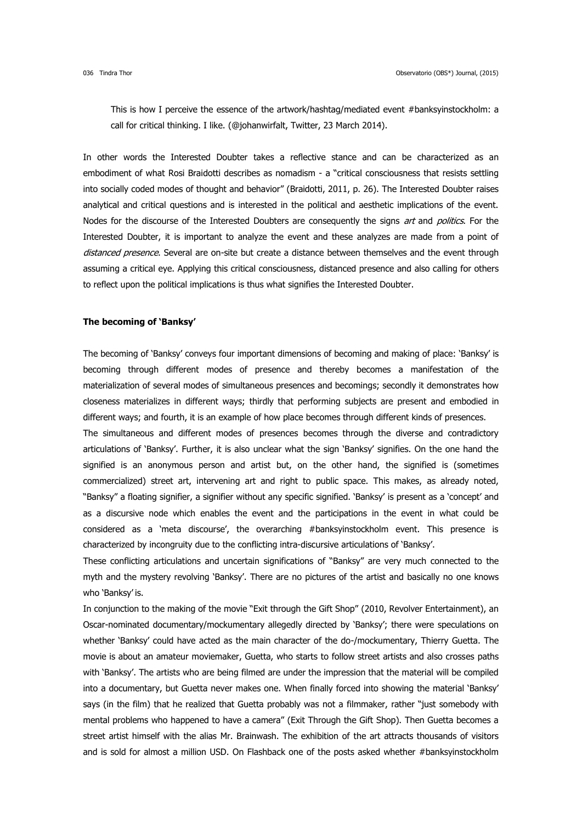This is how I perceive the essence of the artwork/hashtag/mediated event #banksyinstockholm: a call for critical thinking. I like. (@johanwirfalt, Twitter, 23 March 2014).

In other words the Interested Doubter takes a reflective stance and can be characterized as an embodiment of what Rosi Braidotti describes as nomadism - a "critical consciousness that resists settling into socially coded modes of thought and behavior" (Braidotti, 2011, p. 26). The Interested Doubter raises analytical and critical questions and is interested in the political and aesthetic implications of the event. Nodes for the discourse of the Interested Doubters are consequently the signs *art* and *politics*. For the Interested Doubter, it is important to analyze the event and these analyzes are made from a point of distanced presence. Several are on-site but create a distance between themselves and the event through assuming a critical eye. Applying this critical consciousness, distanced presence and also calling for others to reflect upon the political implications is thus what signifies the Interested Doubter.

### **The becoming of 'Banksy'**

The becoming of 'Banksy' conveys four important dimensions of becoming and making of place: 'Banksy' is becoming through different modes of presence and thereby becomes a manifestation of the materialization of several modes of simultaneous presences and becomings; secondly it demonstrates how closeness materializes in different ways; thirdly that performing subjects are present and embodied in different ways; and fourth, it is an example of how place becomes through different kinds of presences.

The simultaneous and different modes of presences becomes through the diverse and contradictory articulations of 'Banksy'. Further, it is also unclear what the sign 'Banksy' signifies. On the one hand the signified is an anonymous person and artist but, on the other hand, the signified is (sometimes commercialized) street art, intervening art and right to public space. This makes, as already noted, "Banksy" a floating signifier, a signifier without any specific signified. 'Banksy' is present as a 'concept' and as a discursive node which enables the event and the participations in the event in what could be considered as a 'meta discourse', the overarching #banksyinstockholm event. This presence is characterized by incongruity due to the conflicting intra-discursive articulations of 'Banksy'.

These conflicting articulations and uncertain significations of "Banksy" are very much connected to the myth and the mystery revolving 'Banksy'. There are no pictures of the artist and basically no one knows who 'Banksy' is.

In conjunction to the making of the movie "Exit through the Gift Shop" (2010, Revolver Entertainment), an Oscar-nominated documentary/mockumentary allegedly directed by 'Banksy'; there were speculations on whether 'Banksy' could have acted as the main character of the do-/mockumentary, Thierry Guetta. The movie is about an amateur moviemaker, Guetta, who starts to follow street artists and also crosses paths with 'Banksy'. The artists who are being filmed are under the impression that the material will be compiled into a documentary, but Guetta never makes one. When finally forced into showing the material 'Banksy' says (in the film) that he realized that Guetta probably was not a filmmaker, rather "just somebody with mental problems who happened to have a camera" (Exit Through the Gift Shop). Then Guetta becomes a street artist himself with the alias Mr. Brainwash. The exhibition of the art attracts thousands of visitors and is sold for almost a million USD. On Flashback one of the posts asked whether #banksyinstockholm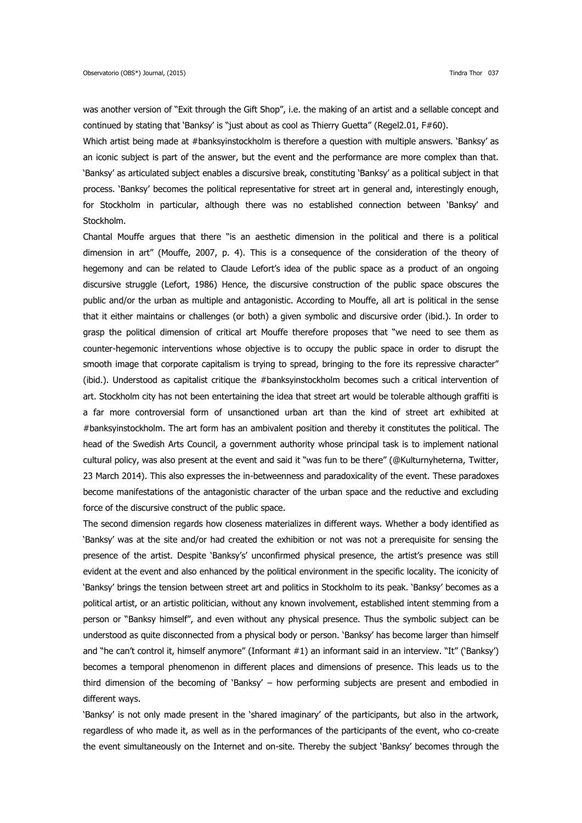was another version of "Exit through the Gift Shop", i.e. the making of an artist and a sellable concept and continued by stating that 'Banksy' is "just about as cool as Thierry Guetta" (Regel2.01, F#60).

Which artist being made at #banksyinstockholm is therefore a question with multiple answers. 'Banksy' as an iconic subject is part of the answer, but the event and the performance are more complex than that. 'Banksy' as articulated subject enables a discursive break, constituting 'Banksy' as a political subject in that process. 'Banksy' becomes the political representative for street art in general and, interestingly enough, for Stockholm in particular, although there was no established connection between 'Banksy' and Stockholm.

Chantal Mouffe argues that there "is an aesthetic dimension in the political and there is a political dimension in art" (Mouffe, 2007, p. 4). This is a consequence of the consideration of the theory of hegemony and can be related to Claude Lefort's idea of the public space as a product of an ongoing discursive struggle (Lefort, 1986) Hence, the discursive construction of the public space obscures the public and/or the urban as multiple and antagonistic. According to Mouffe, all art is political in the sense that it either maintains or challenges (or both) a given symbolic and discursive order (ibid.). In order to grasp the political dimension of critical art Mouffe therefore proposes that "we need to see them as counter-hegemonic interventions whose objective is to occupy the public space in order to disrupt the smooth image that corporate capitalism is trying to spread, bringing to the fore its repressive character" (ibid.). Understood as capitalist critique the #banksyinstockholm becomes such a critical intervention of art. Stockholm city has not been entertaining the idea that street art would be tolerable although graffiti is a far more controversial form of unsanctioned urban art than the kind of street art exhibited at #banksyinstockholm. The art form has an ambivalent position and thereby it constitutes the political. The head of the Swedish Arts Council, a government authority whose principal task is to implement national cultural policy, was also present at the event and said it "was fun to be there" (@Kulturnyheterna, Twitter, 23 March 2014). This also expresses the in-betweenness and paradoxicality of the event. These paradoxes become manifestations of the antagonistic character of the urban space and the reductive and excluding force of the discursive construct of the public space.

The second dimension regards how closeness materializes in different ways. Whether a body identified as 'Banksy' was at the site and/or had created the exhibition or not was not a prerequisite for sensing the presence of the artist. Despite 'Banksy's' unconfirmed physical presence, the artist's presence was still evident at the event and also enhanced by the political environment in the specific locality. The iconicity of 'Banksy' brings the tension between street art and politics in Stockholm to its peak. 'Banksy' becomes as a political artist, or an artistic politician, without any known involvement, established intent stemming from a person or "Banksy himself", and even without any physical presence. Thus the symbolic subject can be understood as quite disconnected from a physical body or person. 'Banksy' has become larger than himself and "he can't control it, himself anymore" (Informant #1) an informant said in an interview. "It" ('Banksy') becomes a temporal phenomenon in different places and dimensions of presence. This leads us to the third dimension of the becoming of 'Banksy' – how performing subjects are present and embodied in different ways.

'Banksy' is not only made present in the 'shared imaginary' of the participants, but also in the artwork, regardless of who made it, as well as in the performances of the participants of the event, who co-create the event simultaneously on the Internet and on-site. Thereby the subject 'Banksy' becomes through the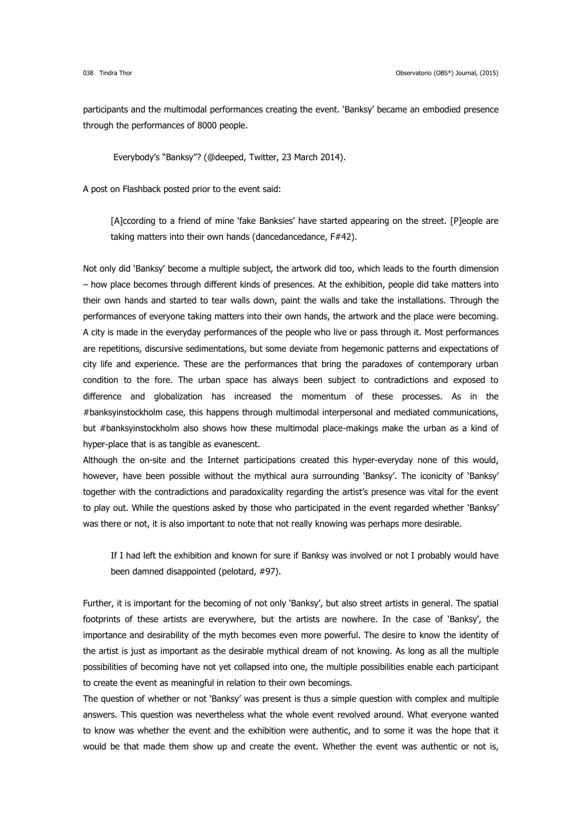participants and the multimodal performances creating the event. 'Banksy' became an embodied presence through the performances of 8000 people.

Everybody's "Banksy"? (@deeped, Twitter, 23 March 2014).

A post on Flashback posted prior to the event said:

[A]ccording to a friend of mine 'fake Banksies' have started appearing on the street. [P]eople are taking matters into their own hands (dancedancedance, F#42).

Not only did 'Banksy' become a multiple subject, the artwork did too, which leads to the fourth dimension – how place becomes through different kinds of presences. At the exhibition, people did take matters into their own hands and started to tear walls down, paint the walls and take the installations. Through the performances of everyone taking matters into their own hands, the artwork and the place were becoming. A city is made in the everyday performances of the people who live or pass through it. Most performances are repetitions, discursive sedimentations, but some deviate from hegemonic patterns and expectations of city life and experience. These are the performances that bring the paradoxes of contemporary urban condition to the fore. The urban space has always been subject to contradictions and exposed to difference and globalization has increased the momentum of these processes. As in the #banksyinstockholm case, this happens through multimodal interpersonal and mediated communications, but #banksyinstockholm also shows how these multimodal place-makings make the urban as a kind of hyper-place that is as tangible as evanescent.

Although the on-site and the Internet participations created this hyper-everyday none of this would, however, have been possible without the mythical aura surrounding 'Banksy'. The iconicity of 'Banksy' together with the contradictions and paradoxicality regarding the artist's presence was vital for the event to play out. While the questions asked by those who participated in the event regarded whether 'Banksy' was there or not, it is also important to note that not really knowing was perhaps more desirable.

If I had left the exhibition and known for sure if Banksy was involved or not I probably would have been damned disappointed (pelotard, #97).

Further, it is important for the becoming of not only 'Banksy', but also street artists in general. The spatial footprints of these artists are everywhere, but the artists are nowhere. In the case of 'Banksy', the importance and desirability of the myth becomes even more powerful. The desire to know the identity of the artist is just as important as the desirable mythical dream of not knowing. As long as all the multiple possibilities of becoming have not yet collapsed into one, the multiple possibilities enable each participant to create the event as meaningful in relation to their own becomings.

The question of whether or not 'Banksy' was present is thus a simple question with complex and multiple answers. This question was nevertheless what the whole event revolved around. What everyone wanted to know was whether the event and the exhibition were authentic, and to some it was the hope that it would be that made them show up and create the event. Whether the event was authentic or not is,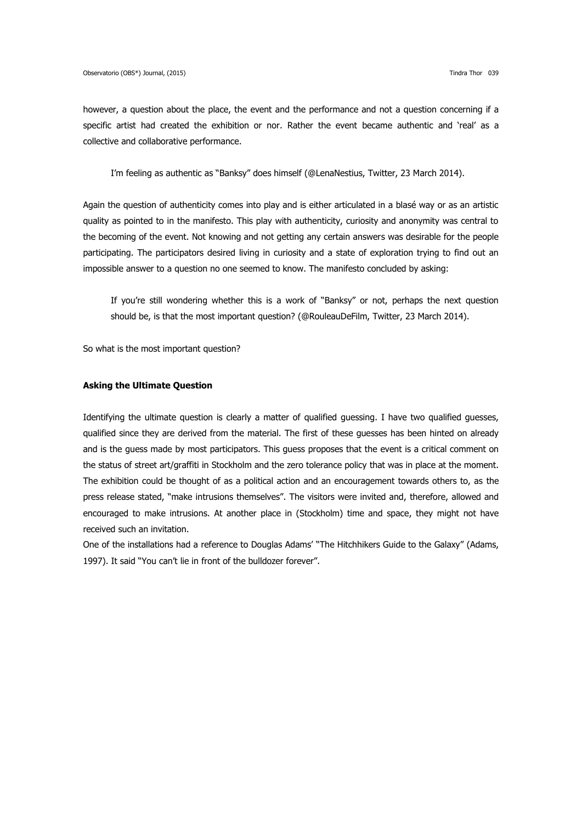however, a question about the place, the event and the performance and not a question concerning if a specific artist had created the exhibition or nor. Rather the event became authentic and 'real' as a collective and collaborative performance.

I'm feeling as authentic as "Banksy" does himself (@LenaNestius, Twitter, 23 March 2014).

Again the question of authenticity comes into play and is either articulated in a blasé way or as an artistic quality as pointed to in the manifesto. This play with authenticity, curiosity and anonymity was central to the becoming of the event. Not knowing and not getting any certain answers was desirable for the people participating. The participators desired living in curiosity and a state of exploration trying to find out an impossible answer to a question no one seemed to know. The manifesto concluded by asking:

If you're still wondering whether this is a work of "Banksy" or not, perhaps the next question should be, is that the most important question? (@RouleauDeFilm, Twitter, 23 March 2014).

So what is the most important question?

#### **Asking the Ultimate Question**

Identifying the ultimate question is clearly a matter of qualified guessing. I have two qualified guesses, qualified since they are derived from the material. The first of these guesses has been hinted on already and is the guess made by most participators. This guess proposes that the event is a critical comment on the status of street art/graffiti in Stockholm and the zero tolerance policy that was in place at the moment. The exhibition could be thought of as a political action and an encouragement towards others to, as the press release stated, "make intrusions themselves". The visitors were invited and, therefore, allowed and encouraged to make intrusions. At another place in (Stockholm) time and space, they might not have received such an invitation.

One of the installations had a reference to Douglas Adams' "The Hitchhikers Guide to the Galaxy" (Adams, 1997). It said "You can't lie in front of the bulldozer forever".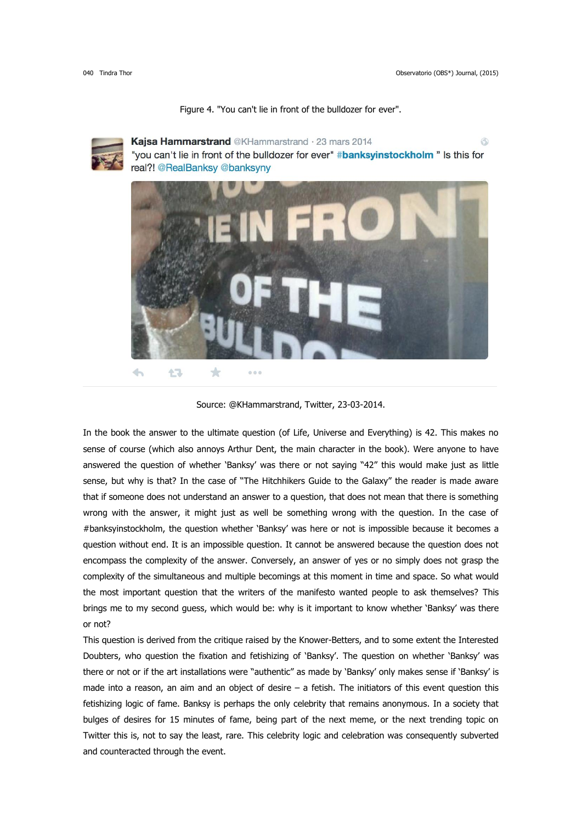

Figure 4. "You can't lie in front of the bulldozer for ever".

Kajsa Hammarstrand @KHammarstrand · 23 mars 2014 ⊛ "you can't lie in front of the bulldozer for ever" #banksyinstockholm " Is this for real?! @RealBanksy @banksyny



Source: @KHammarstrand, Twitter, 23-03-2014.

In the book the answer to the ultimate question (of Life, Universe and Everything) is 42. This makes no sense of course (which also annoys Arthur Dent, the main character in the book). Were anyone to have answered the question of whether 'Banksy' was there or not saying "42" this would make just as little sense, but why is that? In the case of "The Hitchhikers Guide to the Galaxy" the reader is made aware that if someone does not understand an answer to a question, that does not mean that there is something wrong with the answer, it might just as well be something wrong with the question. In the case of #banksyinstockholm, the question whether 'Banksy' was here or not is impossible because it becomes a question without end. It is an impossible question. It cannot be answered because the question does not encompass the complexity of the answer. Conversely, an answer of yes or no simply does not grasp the complexity of the simultaneous and multiple becomings at this moment in time and space. So what would the most important question that the writers of the manifesto wanted people to ask themselves? This brings me to my second guess, which would be: why is it important to know whether 'Banksy' was there or not?

This question is derived from the critique raised by the Knower-Betters, and to some extent the Interested Doubters, who question the fixation and fetishizing of 'Banksy'. The question on whether 'Banksy' was there or not or if the art installations were "authentic" as made by 'Banksy' only makes sense if 'Banksy' is made into a reason, an aim and an object of desire  $-$  a fetish. The initiators of this event question this fetishizing logic of fame. Banksy is perhaps the only celebrity that remains anonymous. In a society that bulges of desires for 15 minutes of fame, being part of the next meme, or the next trending topic on Twitter this is, not to say the least, rare. This celebrity logic and celebration was consequently subverted and counteracted through the event.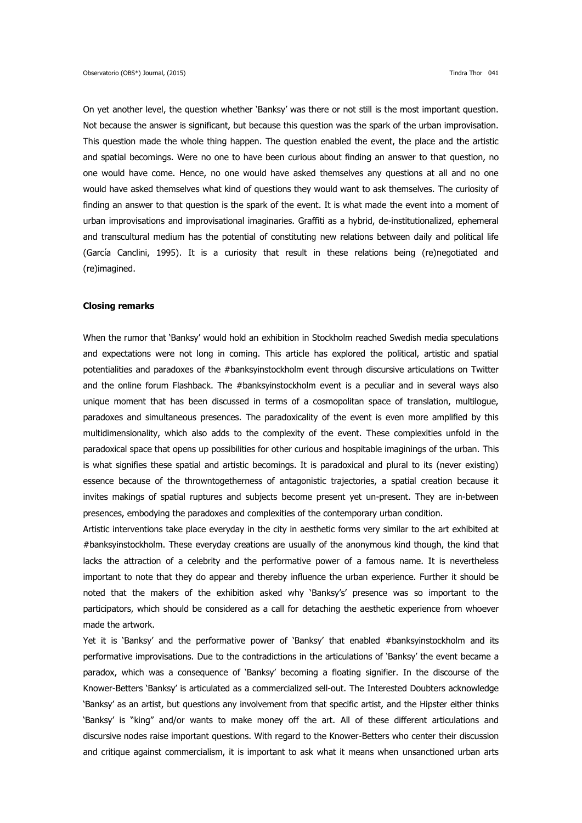On yet another level, the question whether 'Banksy' was there or not still is the most important question. Not because the answer is significant, but because this question was the spark of the urban improvisation. This question made the whole thing happen. The question enabled the event, the place and the artistic and spatial becomings. Were no one to have been curious about finding an answer to that question, no one would have come. Hence, no one would have asked themselves any questions at all and no one would have asked themselves what kind of questions they would want to ask themselves. The curiosity of finding an answer to that question is the spark of the event. It is what made the event into a moment of urban improvisations and improvisational imaginaries. Graffiti as a hybrid, de-institutionalized, ephemeral and transcultural medium has the potential of constituting new relations between daily and political life (García Canclini, 1995). It is a curiosity that result in these relations being (re)negotiated and (re)imagined.

## **Closing remarks**

When the rumor that 'Banksy' would hold an exhibition in Stockholm reached Swedish media speculations and expectations were not long in coming. This article has explored the political, artistic and spatial potentialities and paradoxes of the #banksyinstockholm event through discursive articulations on Twitter and the online forum Flashback. The #banksyinstockholm event is a peculiar and in several ways also unique moment that has been discussed in terms of a cosmopolitan space of translation, multilogue, paradoxes and simultaneous presences. The paradoxicality of the event is even more amplified by this multidimensionality, which also adds to the complexity of the event. These complexities unfold in the paradoxical space that opens up possibilities for other curious and hospitable imaginings of the urban. This is what signifies these spatial and artistic becomings. It is paradoxical and plural to its (never existing) essence because of the throwntogetherness of antagonistic trajectories, a spatial creation because it invites makings of spatial ruptures and subjects become present yet un-present. They are in-between presences, embodying the paradoxes and complexities of the contemporary urban condition.

Artistic interventions take place everyday in the city in aesthetic forms very similar to the art exhibited at #banksyinstockholm. These everyday creations are usually of the anonymous kind though, the kind that lacks the attraction of a celebrity and the performative power of a famous name. It is nevertheless important to note that they do appear and thereby influence the urban experience. Further it should be noted that the makers of the exhibition asked why 'Banksy's' presence was so important to the participators, which should be considered as a call for detaching the aesthetic experience from whoever made the artwork.

Yet it is 'Banksy' and the performative power of 'Banksy' that enabled #banksyinstockholm and its performative improvisations. Due to the contradictions in the articulations of 'Banksy' the event became a paradox, which was a consequence of 'Banksy' becoming a floating signifier. In the discourse of the Knower-Betters 'Banksy' is articulated as a commercialized sell-out. The Interested Doubters acknowledge 'Banksy' as an artist, but questions any involvement from that specific artist, and the Hipster either thinks 'Banksy' is "king" and/or wants to make money off the art. All of these different articulations and discursive nodes raise important questions. With regard to the Knower-Betters who center their discussion and critique against commercialism, it is important to ask what it means when unsanctioned urban arts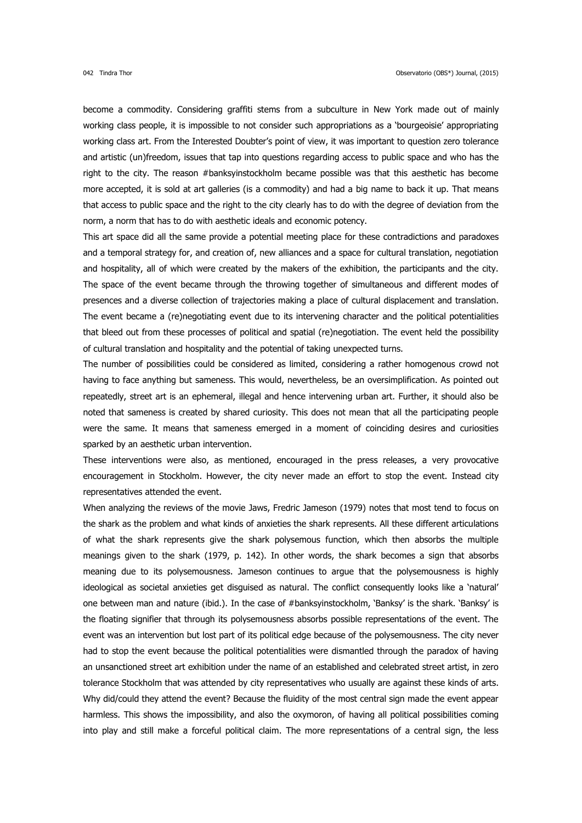become a commodity. Considering graffiti stems from a subculture in New York made out of mainly working class people, it is impossible to not consider such appropriations as a 'bourgeoisie' appropriating working class art. From the Interested Doubter's point of view, it was important to question zero tolerance and artistic (un)freedom, issues that tap into questions regarding access to public space and who has the right to the city. The reason #banksyinstockholm became possible was that this aesthetic has become more accepted, it is sold at art galleries (is a commodity) and had a big name to back it up. That means that access to public space and the right to the city clearly has to do with the degree of deviation from the norm, a norm that has to do with aesthetic ideals and economic potency.

This art space did all the same provide a potential meeting place for these contradictions and paradoxes and a temporal strategy for, and creation of, new alliances and a space for cultural translation, negotiation and hospitality, all of which were created by the makers of the exhibition, the participants and the city. The space of the event became through the throwing together of simultaneous and different modes of presences and a diverse collection of trajectories making a place of cultural displacement and translation. The event became a (re)negotiating event due to its intervening character and the political potentialities that bleed out from these processes of political and spatial (re)negotiation. The event held the possibility of cultural translation and hospitality and the potential of taking unexpected turns.

The number of possibilities could be considered as limited, considering a rather homogenous crowd not having to face anything but sameness. This would, nevertheless, be an oversimplification. As pointed out repeatedly, street art is an ephemeral, illegal and hence intervening urban art. Further, it should also be noted that sameness is created by shared curiosity. This does not mean that all the participating people were the same. It means that sameness emerged in a moment of coinciding desires and curiosities sparked by an aesthetic urban intervention.

These interventions were also, as mentioned, encouraged in the press releases, a very provocative encouragement in Stockholm. However, the city never made an effort to stop the event. Instead city representatives attended the event.

When analyzing the reviews of the movie Jaws, Fredric Jameson (1979) notes that most tend to focus on the shark as the problem and what kinds of anxieties the shark represents. All these different articulations of what the shark represents give the shark polysemous function, which then absorbs the multiple meanings given to the shark (1979, p. 142). In other words, the shark becomes a sign that absorbs meaning due to its polysemousness. Jameson continues to argue that the polysemousness is highly ideological as societal anxieties get disguised as natural. The conflict consequently looks like a 'natural' one between man and nature (ibid.). In the case of #banksyinstockholm, 'Banksy' is the shark. 'Banksy' is the floating signifier that through its polysemousness absorbs possible representations of the event. The event was an intervention but lost part of its political edge because of the polysemousness. The city never had to stop the event because the political potentialities were dismantled through the paradox of having an unsanctioned street art exhibition under the name of an established and celebrated street artist, in zero tolerance Stockholm that was attended by city representatives who usually are against these kinds of arts. Why did/could they attend the event? Because the fluidity of the most central sign made the event appear harmless. This shows the impossibility, and also the oxymoron, of having all political possibilities coming into play and still make a forceful political claim. The more representations of a central sign, the less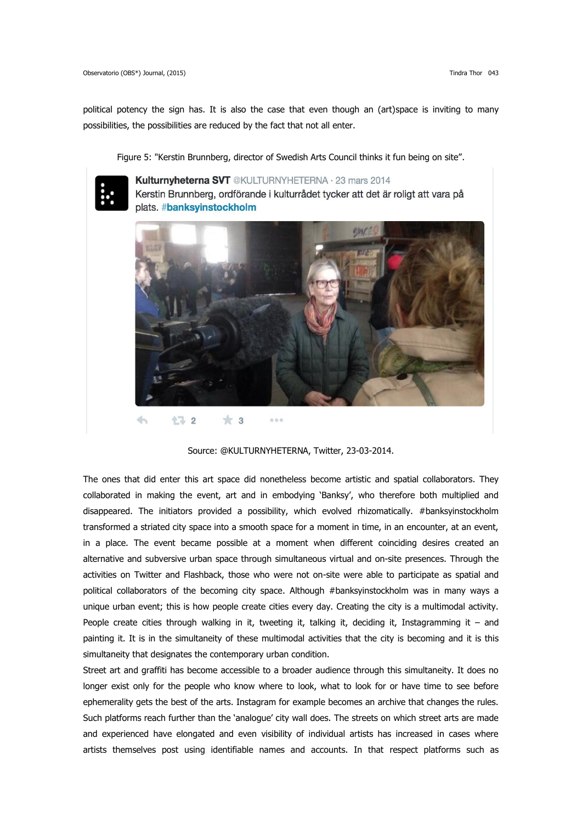political potency the sign has. It is also the case that even though an (art)space is inviting to many possibilities, the possibilities are reduced by the fact that not all enter.

Figure 5: "Kerstin Brunnberg, director of Swedish Arts Council thinks it fun being on site".



Kulturnvheterna SVT @KULTURNYHETERNA · 23 mars 2014 Kerstin Brunnberg, ordförande i kulturrådet tycker att det är roligt att vara på plats. #banksyinstockholm



Source: @KULTURNYHETERNA, Twitter, 23-03-2014.

The ones that did enter this art space did nonetheless become artistic and spatial collaborators. They collaborated in making the event, art and in embodying 'Banksy', who therefore both multiplied and disappeared. The initiators provided a possibility, which evolved rhizomatically. #banksyinstockholm transformed a striated city space into a smooth space for a moment in time, in an encounter, at an event, in a place. The event became possible at a moment when different coinciding desires created an alternative and subversive urban space through simultaneous virtual and on-site presences. Through the activities on Twitter and Flashback, those who were not on-site were able to participate as spatial and political collaborators of the becoming city space. Although #banksyinstockholm was in many ways a unique urban event; this is how people create cities every day. Creating the city is a multimodal activity. People create cities through walking in it, tweeting it, talking it, deciding it, Instagramming it – and painting it. It is in the simultaneity of these multimodal activities that the city is becoming and it is this simultaneity that designates the contemporary urban condition.

Street art and graffiti has become accessible to a broader audience through this simultaneity. It does no longer exist only for the people who know where to look, what to look for or have time to see before ephemerality gets the best of the arts. Instagram for example becomes an archive that changes the rules. Such platforms reach further than the 'analogue' city wall does. The streets on which street arts are made and experienced have elongated and even visibility of individual artists has increased in cases where artists themselves post using identifiable names and accounts. In that respect platforms such as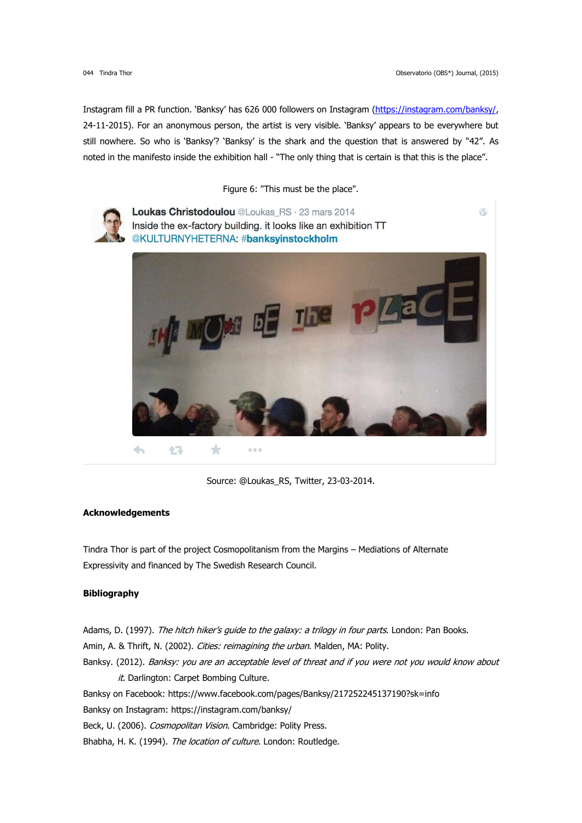Ġ

Instagram fill a PR function. 'Banksy' has 626 000 followers on Instagram [\(https://instagram.com/banksy/,](https://instagram.com/banksy/) 24-11-2015). For an anonymous person, the artist is very visible. 'Banksy' appears to be everywhere but still nowhere. So who is 'Banksy'? 'Banksy' is the shark and the question that is answered by "42". As noted in the manifesto inside the exhibition hall - "The only thing that is certain is that this is the place".

Figure 6: "This must be the place".



Loukas Christodoulou @Loukas\_RS · 23 mars 2014 Inside the ex-factory building. it looks like an exhibition TT @KULTURNYHETERNA: #banksyinstockholm



Source: @Loukas\_RS, Twitter, 23-03-2014.

#### **Acknowledgements**

Tindra Thor is part of the project Cosmopolitanism from the Margins – Mediations of Alternate Expressivity and financed by The Swedish Research Council.

# **Bibliography**

Adams, D. (1997). The hitch hiker's guide to the galaxy: a trilogy in four parts. London: Pan Books. Amin, A. & Thrift, N. (2002). Cities: reimagining the urban. Malden, MA: Polity. Banksy. (2012). Banksy: you are an acceptable level of threat and if you were not you would know about it. Darlington: Carpet Bombing Culture. Banksy on Facebook: https://www.facebook.com/pages/Banksy/217252245137190?sk=info Banksy on Instagram: https://instagram.com/banksy/ Beck, U. (2006). Cosmopolitan Vision. Cambridge: Polity Press. Bhabha, H. K. (1994). The location of culture. London: Routledge.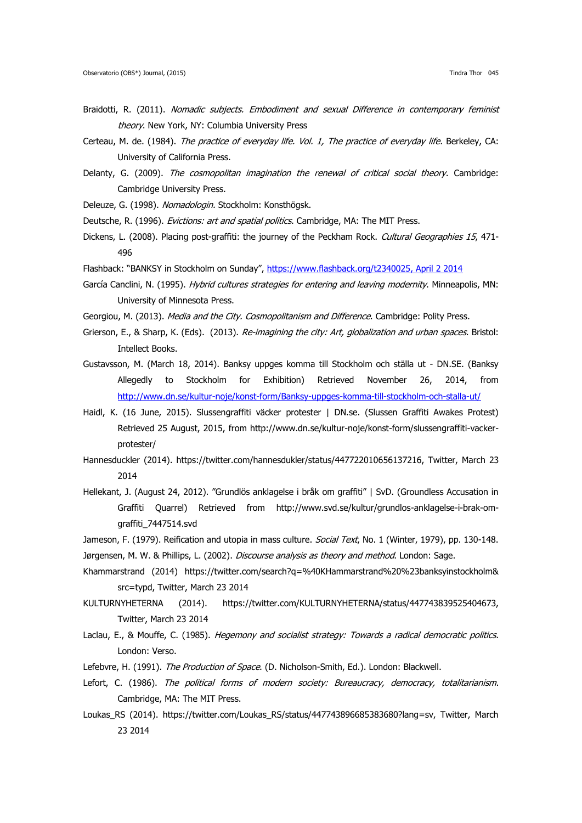- Braidotti, R. (2011). Nomadic subjects. Embodiment and sexual Difference in contemporary feminist theory. New York, NY: Columbia University Press
- Certeau, M. de. (1984). The practice of everyday life. Vol. 1, The practice of everyday life. Berkeley, CA: University of California Press.
- Delanty, G. (2009). The cosmopolitan imagination the renewal of critical social theory. Cambridge: Cambridge University Press.
- Deleuze, G. (1998). Nomadologin. Stockholm: Konsthögsk.
- Deutsche, R. (1996). Evictions: art and spatial politics. Cambridge, MA: The MIT Press.
- Dickens, L. (2008). Placing post-graffiti: the journey of the Peckham Rock. Cultural Geographies 15, 471-496
- Flashback: "BANKSY in Stockholm on Sunday", [https://www.flashback.org/t2340025,](https://www.flashback.org/t2340025) April 2 2014
- García Canclini, N. (1995). Hybrid cultures strategies for entering and leaving modernity. Minneapolis, MN: University of Minnesota Press.
- Georgiou, M. (2013). *Media and the City. Cosmopolitanism and Difference*. Cambridge: Polity Press.
- Grierson, E., & Sharp, K. (Eds). (2013). Re-imagining the city: Art, globalization and urban spaces. Bristol: Intellect Books.
- Gustavsson, M. (March 18, 2014). Banksy uppges komma till Stockholm och ställa ut DN.SE. (Banksy Allegedly to Stockholm for Exhibition) Retrieved November 26, 2014, from <http://www.dn.se/kultur-noje/konst-form/Banksy-uppges-komma-till-stockholm-och-stalla-ut/>
- Haidl, K. (16 June, 2015). Slussengraffiti väcker protester | DN.se. (Slussen Graffiti Awakes Protest) Retrieved 25 August, 2015, from http://www.dn.se/kultur-noje/konst-form/slussengraffiti-vackerprotester/
- Hannesduckler (2014). https://twitter.com/hannesdukler/status/447722010656137216, Twitter, March 23 2014
- Hellekant, J. (August 24, 2012). "Grundlös anklagelse i bråk om graffiti" | SvD. (Groundless Accusation in Graffiti Quarrel) Retrieved from http://www.svd.se/kultur/grundlos-anklagelse-i-brak-omgraffiti\_7447514.svd
- Jameson, F. (1979). Reification and utopia in mass culture. Social Text, No. 1 (Winter, 1979), pp. 130-148.
- Jørgensen, M. W. & Phillips, L. (2002). *Discourse analysis as theory and method*. London: Sage.
- Khammarstrand (2014) https://twitter.com/search?q=%40KHammarstrand%20%23banksyinstockholm& src=typd, Twitter, March 23 2014
- KULTURNYHETERNA (2014). https://twitter.com/KULTURNYHETERNA/status/447743839525404673, Twitter, March 23 2014
- Laclau, E., & Mouffe, C. (1985). Hegemony and socialist strategy: Towards a radical democratic politics. London: Verso.
- Lefebvre, H. (1991). The Production of Space. (D. Nicholson-Smith, Ed.). London: Blackwell.
- Lefort, C. (1986). The political forms of modern society: Bureaucracy, democracy, totalitarianism. Cambridge, MA: The MIT Press.
- Loukas RS (2014). https://twitter.com/Loukas RS/status/447743896685383680?lang=sv, Twitter, March 23 2014